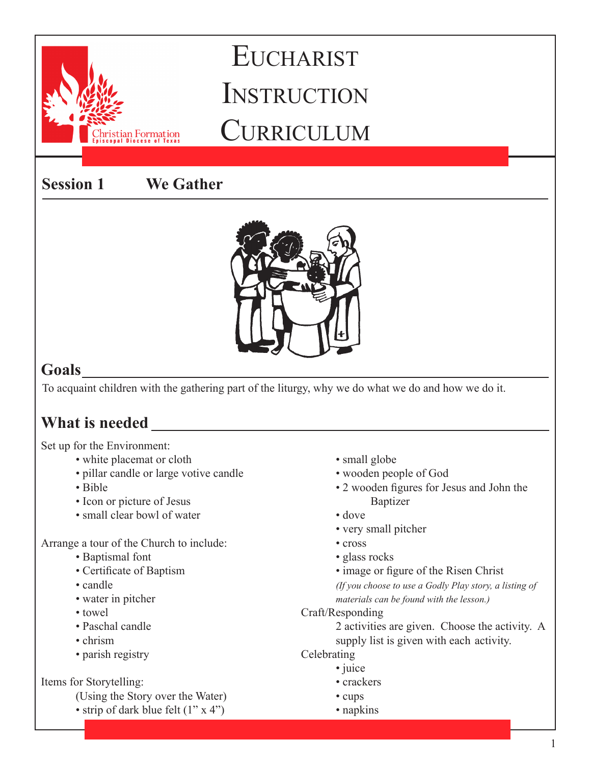### **Session 1 We Gather**

istian Formation



### **Goals**

To acquaint children with the gathering part of the liturgy, why we do what we do and how we do it.

### **What is needed**

### Set up for the Environment:

- white placemat or cloth
- pillar candle or large votive candle
- Bible
- Icon or picture of Jesus
- small clear bowl of water

Arrange a tour of the Church to include:

- Baptismal font
- Certificate of Baptism
- candle
- water in pitcher
- towel
- Paschal candle
- chrism
- parish registry

### Items for Storytelling:

- (Using the Story over the Water)
- strip of dark blue felt  $(1" x 4")$
- small globe
- wooden people of God
- 2 wooden figures for Jesus and John the Baptizer
- dove
- very small pitcher
- cross
- glass rocks
- image or figure of the Risen Christ

*(If you choose to use a Godly Play story, a listing of materials can be found with the lesson.)*

Craft/Responding

2 activities are given. Choose the activity. A supply list is given with each activity.

**Celebrating** 

- juice
- crackers
- cups
- napkins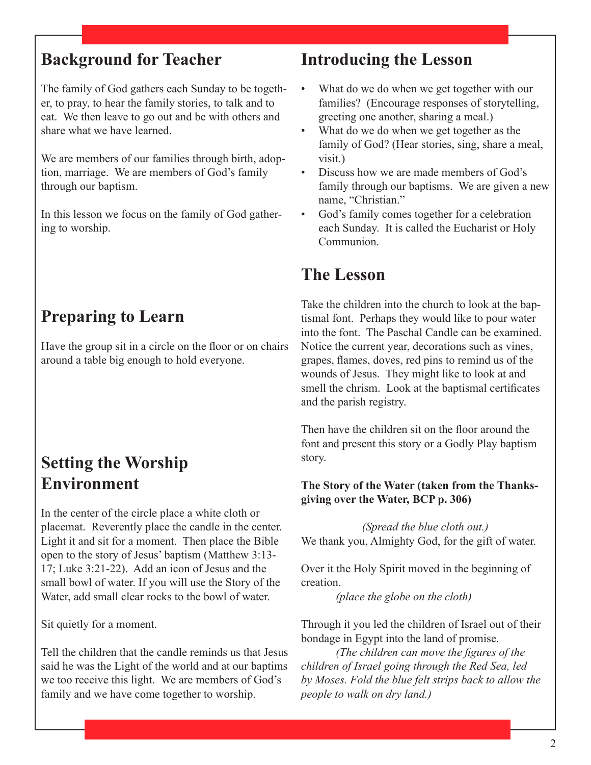The family of God gathers each Sunday to be together, to pray, to hear the family stories, to talk and to eat. We then leave to go out and be with others and share what we have learned.

We are members of our families through birth, adoption, marriage. We are members of God's family through our baptism.

In this lesson we focus on the family of God gathering to worship.

### **Preparing to Learn**

Have the group sit in a circle on the floor or on chairs around a table big enough to hold everyone.

### **Setting the Worship Environment**

In the center of the circle place a white cloth or placemat. Reverently place the candle in the center. Light it and sit for a moment. Then place the Bible open to the story of Jesus' baptism (Matthew 3:13- 17; Luke 3:21-22). Add an icon of Jesus and the small bowl of water. If you will use the Story of the Water, add small clear rocks to the bowl of water.

Sit quietly for a moment.

Tell the children that the candle reminds us that Jesus said he was the Light of the world and at our baptims we too receive this light. We are members of God's family and we have come together to worship.

### **Introducing the Lesson**

- What do we do when we get together with our families? (Encourage responses of storytelling, greeting one another, sharing a meal.)
- What do we do when we get together as the family of God? (Hear stories, sing, share a meal, visit.)
- Discuss how we are made members of God's family through our baptisms. We are given a new name, "Christian."
- God's family comes together for a celebration each Sunday. It is called the Eucharist or Holy **Communion**

### **The Lesson**

Take the children into the church to look at the baptismal font. Perhaps they would like to pour water into the font. The Paschal Candle can be examined. Notice the current year, decorations such as vines, grapes, flames, doves, red pins to remind us of the wounds of Jesus. They might like to look at and smell the chrism. Look at the baptismal certificates and the parish registry.

Then have the children sit on the floor around the font and present this story or a Godly Play baptism story.

#### **The Story of the Water (taken from the Thanksgiving over the Water, BCP p. 306)**

*(Spread the blue cloth out.)* We thank you, Almighty God, for the gift of water.

Over it the Holy Spirit moved in the beginning of creation.

*(place the globe on the cloth)*

Through it you led the children of Israel out of their bondage in Egypt into the land of promise.

*(The children can move the figures of the children of Israel going through the Red Sea, led by Moses. Fold the blue felt strips back to allow the people to walk on dry land.)*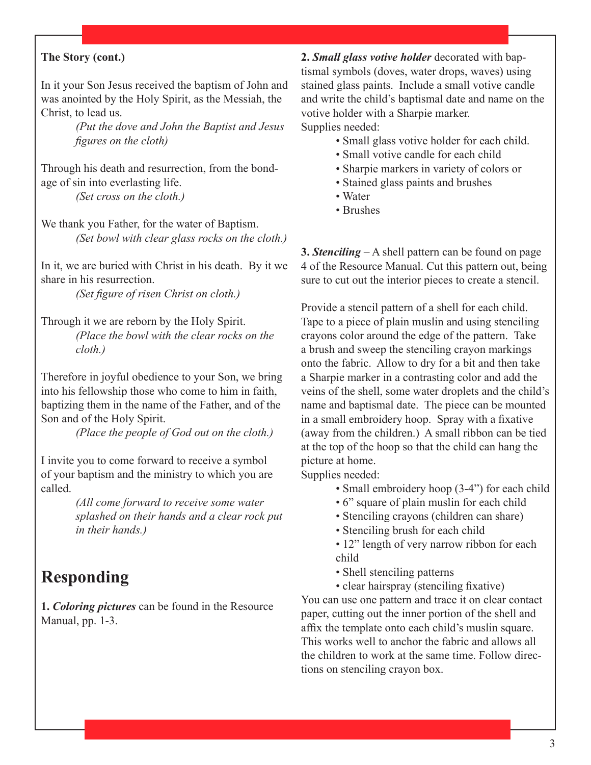#### **The Story (cont.)**

In it your Son Jesus received the baptism of John and was anointed by the Holy Spirit, as the Messiah, the Christ, to lead us.

> *(Put the dove and John the Baptist and Jesus figures on the cloth)*

Through his death and resurrection, from the bondage of sin into everlasting life.

*(Set cross on the cloth.)*

We thank you Father, for the water of Baptism. *(Set bowl with clear glass rocks on the cloth.)*

In it, we are buried with Christ in his death. By it we share in his resurrection.

*(Set figure of risen Christ on cloth.)*

Through it we are reborn by the Holy Spirit. *(Place the bowl with the clear rocks on the cloth.)*

Therefore in joyful obedience to your Son, we bring into his fellowship those who come to him in faith, baptizing them in the name of the Father, and of the Son and of the Holy Spirit.

*(Place the people of God out on the cloth.)*

I invite you to come forward to receive a symbol of your baptism and the ministry to which you are called.

> *(All come forward to receive some water splashed on their hands and a clear rock put in their hands.)*

### **Responding**

**1.** *Coloring pictures* can be found in the Resource Manual, pp. 1-3.

**2.** *Small glass votive holder* decorated with baptismal symbols (doves, water drops, waves) using stained glass paints. Include a small votive candle and write the child's baptismal date and name on the votive holder with a Sharpie marker. Supplies needed:

- Small glass votive holder for each child.
- Small votive candle for each child
- Sharpie markers in variety of colors or
- Stained glass paints and brushes
- Water
- Brushes

**3.** *Stenciling* – A shell pattern can be found on page 4 of the Resource Manual. Cut this pattern out, being sure to cut out the interior pieces to create a stencil.

Provide a stencil pattern of a shell for each child. Tape to a piece of plain muslin and using stenciling crayons color around the edge of the pattern. Take a brush and sweep the stenciling crayon markings onto the fabric. Allow to dry for a bit and then take a Sharpie marker in a contrasting color and add the veins of the shell, some water droplets and the child's name and baptismal date. The piece can be mounted in a small embroidery hoop. Spray with a fixative (away from the children.) A small ribbon can be tied at the top of the hoop so that the child can hang the picture at home.

Supplies needed:

- Small embroidery hoop (3-4") for each child
- 6" square of plain muslin for each child
- Stenciling crayons (children can share)
- Stenciling brush for each child
- 12" length of very narrow ribbon for each child
- Shell stenciling patterns
- clear hairspray (stenciling fixative)

You can use one pattern and trace it on clear contact paper, cutting out the inner portion of the shell and affix the template onto each child's muslin square. This works well to anchor the fabric and allows all the children to work at the same time. Follow directions on stenciling crayon box.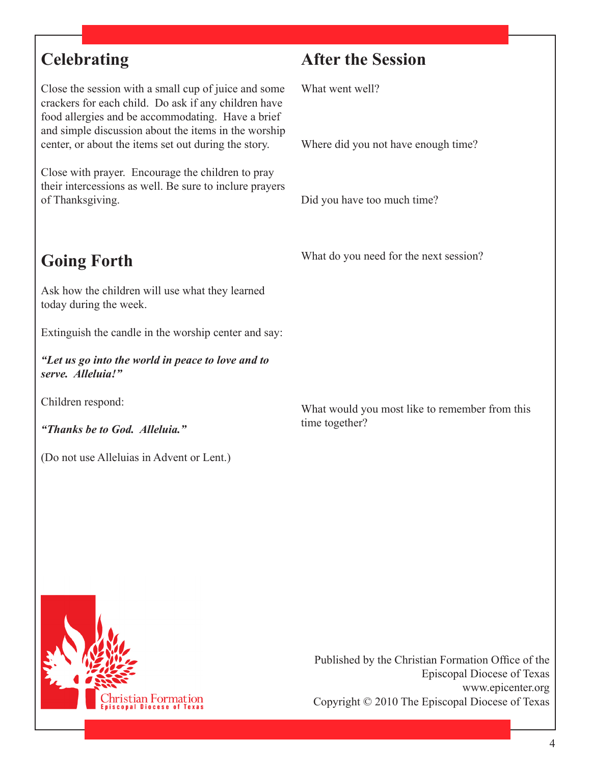### **Celebrating**

Close the session with a small cup of juice and some crackers for each child. Do ask if any children have food allergies and be accommodating. Have a brief and simple discussion about the items in the worship center, or about the items set out during the story.

Close with prayer. Encourage the children to pray their intercessions as well. Be sure to inclure prayers of Thanksgiving.

## **Going Forth**

Ask how the children will use what they learned today during the week.

Extinguish the candle in the worship center and say:

*"Let us go into the world in peace to love and to serve. Alleluia!"*

Children respond:

*"Thanks be to God. Alleluia."*

(Do not use Alleluias in Advent or Lent.)

### **After the Session**

What went well?

Where did you not have enough time?

Did you have too much time?

What do you need for the next session?

What would you most like to remember from this time together?

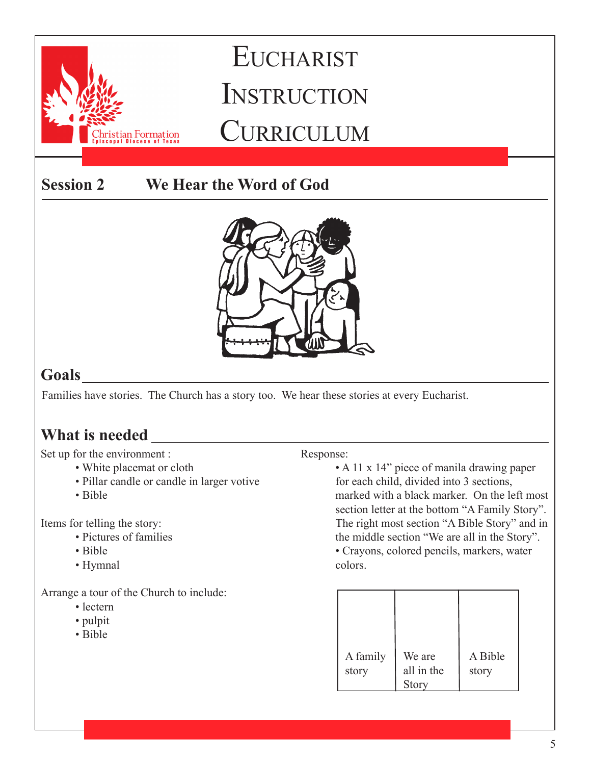

### **Goals**

Families have stories. The Church has a story too. We hear these stories at every Eucharist.

### **What is needed**

Set up for the environment :

- White placemat or cloth
- Pillar candle or candle in larger votive
- Bible

Items for telling the story:

- Pictures of families
- Bible
- Hymnal

Arrange a tour of the Church to include:

- lectern
- pulpit
- Bible

#### Response:

• A 11 x 14" piece of manila drawing paper for each child, divided into 3 sections, marked with a black marker. On the left most section letter at the bottom "A Family Story". The right most section "A Bible Story" and in the middle section "We are all in the Story".

• Crayons, colored pencils, markers, water colors.

| A family<br>story | We are<br>all in the | A Bible<br>story |
|-------------------|----------------------|------------------|
|                   | <b>Story</b>         |                  |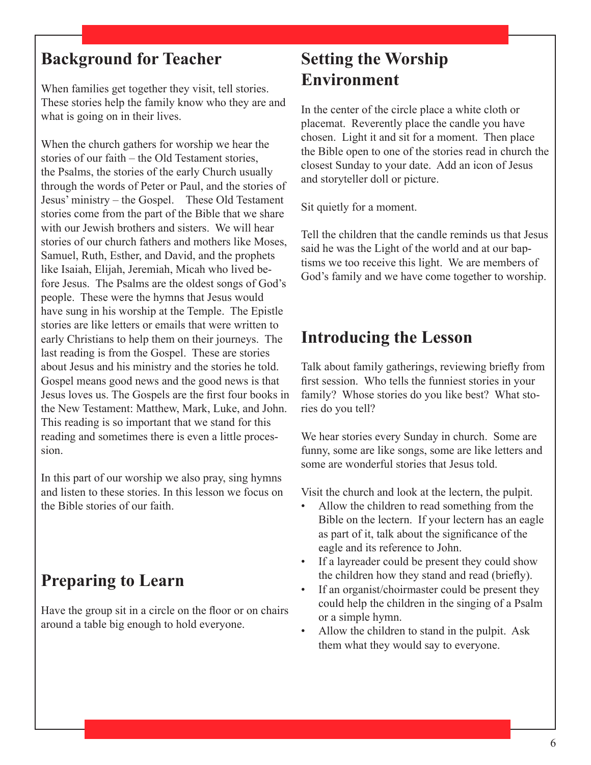When families get together they visit, tell stories. These stories help the family know who they are and what is going on in their lives.

When the church gathers for worship we hear the stories of our faith – the Old Testament stories, the Psalms, the stories of the early Church usually through the words of Peter or Paul, and the stories of Jesus' ministry – the Gospel. These Old Testament stories come from the part of the Bible that we share with our Jewish brothers and sisters. We will hear stories of our church fathers and mothers like Moses, Samuel, Ruth, Esther, and David, and the prophets like Isaiah, Elijah, Jeremiah, Micah who lived before Jesus. The Psalms are the oldest songs of God's people. These were the hymns that Jesus would have sung in his worship at the Temple. The Epistle stories are like letters or emails that were written to early Christians to help them on their journeys. The last reading is from the Gospel. These are stories about Jesus and his ministry and the stories he told. Gospel means good news and the good news is that Jesus loves us. The Gospels are the first four books in the New Testament: Matthew, Mark, Luke, and John. This reading is so important that we stand for this reading and sometimes there is even a little procession.

In this part of our worship we also pray, sing hymns and listen to these stories. In this lesson we focus on the Bible stories of our faith.

### **Preparing to Learn**

Have the group sit in a circle on the floor or on chairs around a table big enough to hold everyone.

### **Setting the Worship Environment**

In the center of the circle place a white cloth or placemat. Reverently place the candle you have chosen. Light it and sit for a moment. Then place the Bible open to one of the stories read in church the closest Sunday to your date. Add an icon of Jesus and storyteller doll or picture.

Sit quietly for a moment.

Tell the children that the candle reminds us that Jesus said he was the Light of the world and at our baptisms we too receive this light. We are members of God's family and we have come together to worship.

### **Introducing the Lesson**

Talk about family gatherings, reviewing briefly from first session. Who tells the funniest stories in your family? Whose stories do you like best? What stories do you tell?

We hear stories every Sunday in church. Some are funny, some are like songs, some are like letters and some are wonderful stories that Jesus told.

Visit the church and look at the lectern, the pulpit.

- Allow the children to read something from the Bible on the lectern. If your lectern has an eagle as part of it, talk about the significance of the eagle and its reference to John.
- If a layreader could be present they could show the children how they stand and read (briefly).
- If an organist/choirmaster could be present they could help the children in the singing of a Psalm or a simple hymn.
- Allow the children to stand in the pulpit. Ask them what they would say to everyone.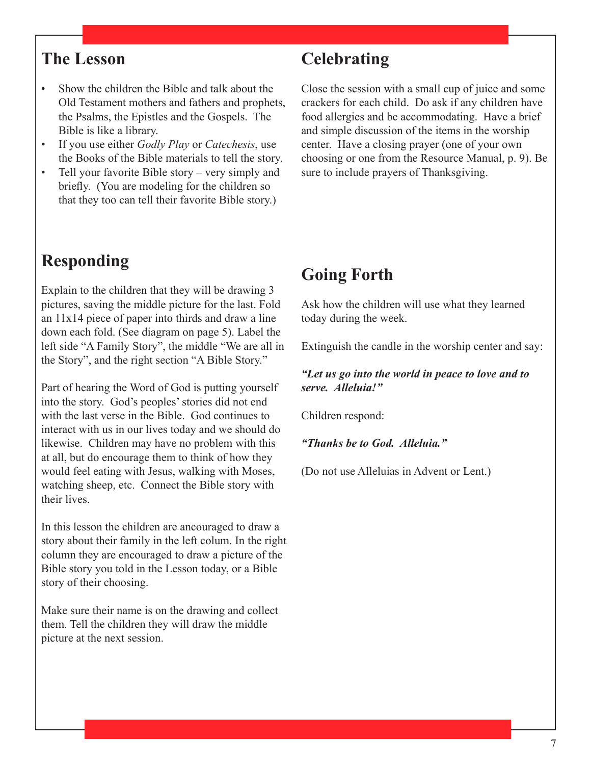### **The Lesson**

- Show the children the Bible and talk about the Old Testament mothers and fathers and prophets, the Psalms, the Epistles and the Gospels. The Bible is like a library.
- If you use either *Godly Play* or *Catechesis*, use the Books of the Bible materials to tell the story.
- Tell your favorite Bible story very simply and briefly. (You are modeling for the children so that they too can tell their favorite Bible story.)

### **Responding**

Explain to the children that they will be drawing 3 pictures, saving the middle picture for the last. Fold an  $11x14$  piece of paper into thirds and draw a line down each fold. (See diagram on page 5). Label the left side "A Family Story", the middle "We are all in the Story", and the right section "A Bible Story."

Part of hearing the Word of God is putting yourself into the story. God's peoples' stories did not end with the last verse in the Bible. God continues to interact with us in our lives today and we should do likewise. Children may have no problem with this at all, but do encourage them to think of how they would feel eating with Jesus, walking with Moses, watching sheep, etc. Connect the Bible story with their lives.

In this lesson the children are ancouraged to draw a story about their family in the left colum. In the right column they are encouraged to draw a picture of the Bible story you told in the Lesson today, or a Bible story of their choosing.

Make sure their name is on the drawing and collect them. Tell the children they will draw the middle picture at the next session.

### **Celebrating**

Close the session with a small cup of juice and some crackers for each child. Do ask if any children have food allergies and be accommodating. Have a brief and simple discussion of the items in the worship center. Have a closing prayer (one of your own choosing or one from the Resource Manual, p. 9). Be sure to include prayers of Thanksgiving.

### **Going Forth**

Ask how the children will use what they learned today during the week.

Extinguish the candle in the worship center and say:

*"Let us go into the world in peace to love and to serve. Alleluia!"*

Children respond:

*"Thanks be to God. Alleluia."*

(Do not use Alleluias in Advent or Lent.)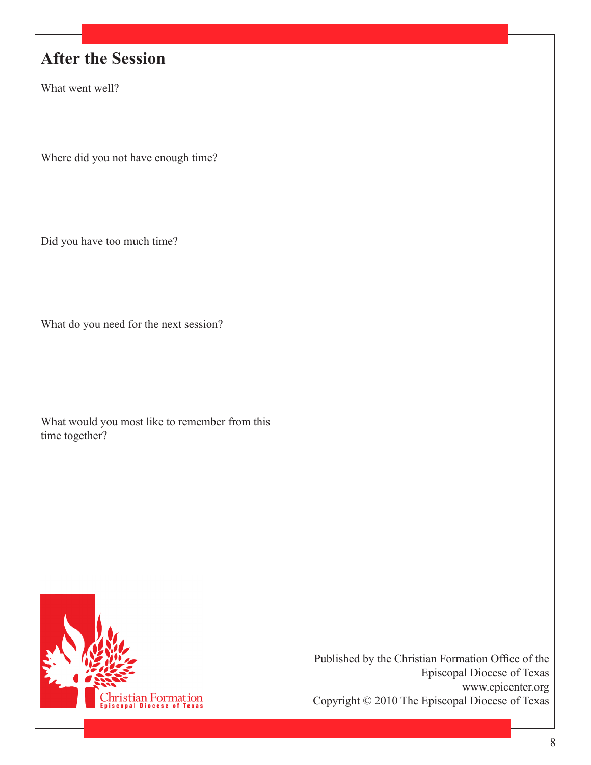### **After the Session**

What went well?

Where did you not have enough time?

Did you have too much time?

What do you need for the next session?

What would you most like to remember from this time together?

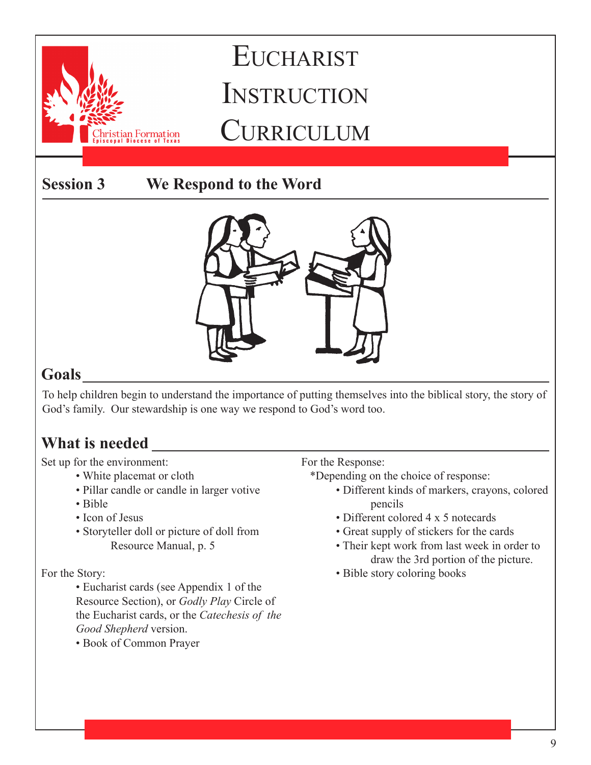stian Formation

### **Session 3 We Respond to the Word**



### **Goals**

To help children begin to understand the importance of putting themselves into the biblical story, the story of God's family. Our stewardship is one way we respond to God's word too.

### **What is needed**

Set up for the environment:

- White placemat or cloth
- Pillar candle or candle in larger votive
- Bible
- Icon of Jesus
- Storyteller doll or picture of doll from Resource Manual, p. 5

### For the Story:

• Eucharist cards (see Appendix 1 of the Resource Section), or *Godly Play* Circle of the Eucharist cards, or the *Catechesis of the Good Shepherd* version.

• Book of Common Prayer

For the Response:

\*Depending on the choice of response:

- Different kinds of markers, crayons, colored pencils
- Different colored 4 x 5 notecards
- Great supply of stickers for the cards
- Their kept work from last week in order to draw the 3rd portion of the picture.
- Bible story coloring books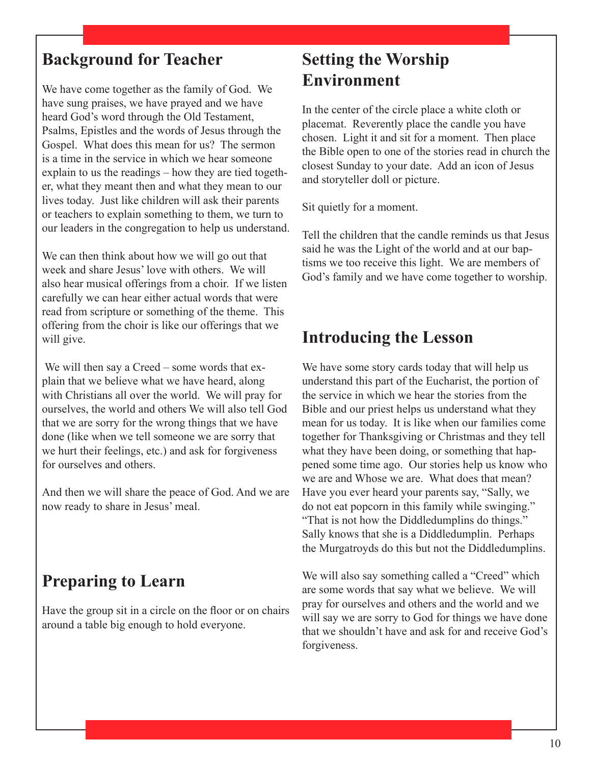We have come together as the family of God. We have sung praises, we have prayed and we have heard God's word through the Old Testament, Psalms, Epistles and the words of Jesus through the Gospel. What does this mean for us? The sermon is a time in the service in which we hear someone explain to us the readings – how they are tied together, what they meant then and what they mean to our lives today. Just like children will ask their parents or teachers to explain something to them, we turn to our leaders in the congregation to help us understand.

We can then think about how we will go out that week and share Jesus' love with others. We will also hear musical offerings from a choir. If we listen carefully we can hear either actual words that were read from scripture or something of the theme. This offering from the choir is like our offerings that we will give.

 We will then say a Creed – some words that explain that we believe what we have heard, along with Christians all over the world. We will pray for ourselves, the world and others We will also tell God that we are sorry for the wrong things that we have done (like when we tell someone we are sorry that we hurt their feelings, etc.) and ask for forgiveness for ourselves and others.

And then we will share the peace of God. And we are now ready to share in Jesus' meal.

### **Preparing to Learn**

Have the group sit in a circle on the floor or on chairs around a table big enough to hold everyone.

### **Setting the Worship Environment**

In the center of the circle place a white cloth or placemat. Reverently place the candle you have chosen. Light it and sit for a moment. Then place the Bible open to one of the stories read in church the closest Sunday to your date. Add an icon of Jesus and storyteller doll or picture.

Sit quietly for a moment.

Tell the children that the candle reminds us that Jesus said he was the Light of the world and at our baptisms we too receive this light. We are members of God's family and we have come together to worship.

### **Introducing the Lesson**

We have some story cards today that will help us understand this part of the Eucharist, the portion of the service in which we hear the stories from the Bible and our priest helps us understand what they mean for us today. It is like when our families come together for Thanksgiving or Christmas and they tell what they have been doing, or something that happened some time ago. Our stories help us know who we are and Whose we are. What does that mean? Have you ever heard your parents say, "Sally, we do not eat popcorn in this family while swinging." "That is not how the Diddledumplins do things." Sally knows that she is a Diddledumplin. Perhaps the Murgatroyds do this but not the Diddledumplins.

We will also say something called a "Creed" which are some words that say what we believe. We will pray for ourselves and others and the world and we will say we are sorry to God for things we have done that we shouldn't have and ask for and receive God's forgiveness.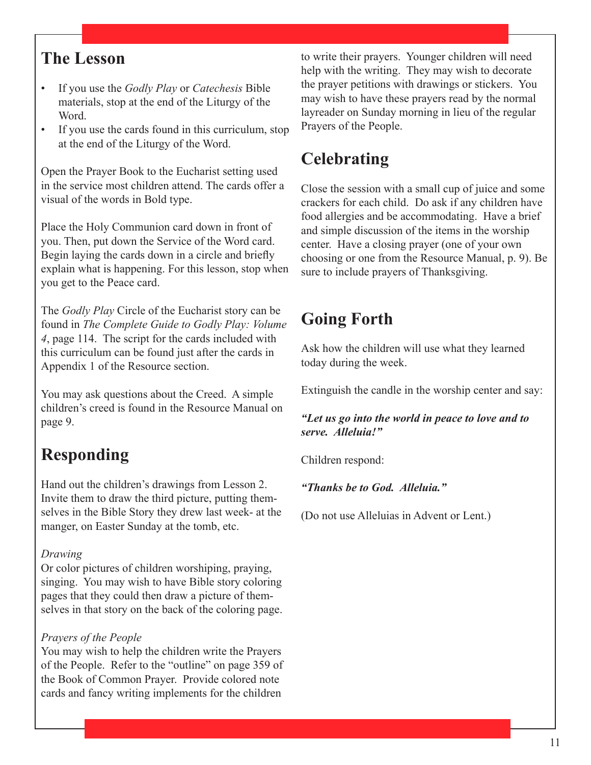### **The Lesson**

- If you use the *Godly Play* or *Catechesis* Bible materials, stop at the end of the Liturgy of the Word.
- If you use the cards found in this curriculum, stop at the end of the Liturgy of the Word.

Open the Prayer Book to the Eucharist setting used in the service most children attend. The cards offer a visual of the words in Bold type.

Place the Holy Communion card down in front of you. Then, put down the Service of the Word card. Begin laying the cards down in a circle and briefly explain what is happening. For this lesson, stop when you get to the Peace card.

The *Godly Play* Circle of the Eucharist story can be found in *The Complete Guide to Godly Play: Volume 4*, page 114. The script for the cards included with this curriculum can be found just after the cards in Appendix 1 of the Resource section.

You may ask questions about the Creed. A simple children's creed is found in the Resource Manual on page 9.

### **Responding**

Hand out the children's drawings from Lesson 2. Invite them to draw the third picture, putting themselves in the Bible Story they drew last week- at the manger, on Easter Sunday at the tomb, etc.

#### *Drawing*

Or color pictures of children worshiping, praying, singing. You may wish to have Bible story coloring pages that they could then draw a picture of themselves in that story on the back of the coloring page.

### *Prayers of the People*

You may wish to help the children write the Prayers of the People. Refer to the "outline" on page 359 of the Book of Common Prayer. Provide colored note cards and fancy writing implements for the children

to write their prayers. Younger children will need help with the writing. They may wish to decorate the prayer petitions with drawings or stickers. You may wish to have these prayers read by the normal layreader on Sunday morning in lieu of the regular Prayers of the People.

## **Celebrating**

Close the session with a small cup of juice and some crackers for each child. Do ask if any children have food allergies and be accommodating. Have a brief and simple discussion of the items in the worship center. Have a closing prayer (one of your own choosing or one from the Resource Manual, p. 9). Be sure to include prayers of Thanksgiving.

### **Going Forth**

Ask how the children will use what they learned today during the week.

Extinguish the candle in the worship center and say:

*"Let us go into the world in peace to love and to serve. Alleluia!"*

Children respond:

*"Thanks be to God. Alleluia."*

(Do not use Alleluias in Advent or Lent.)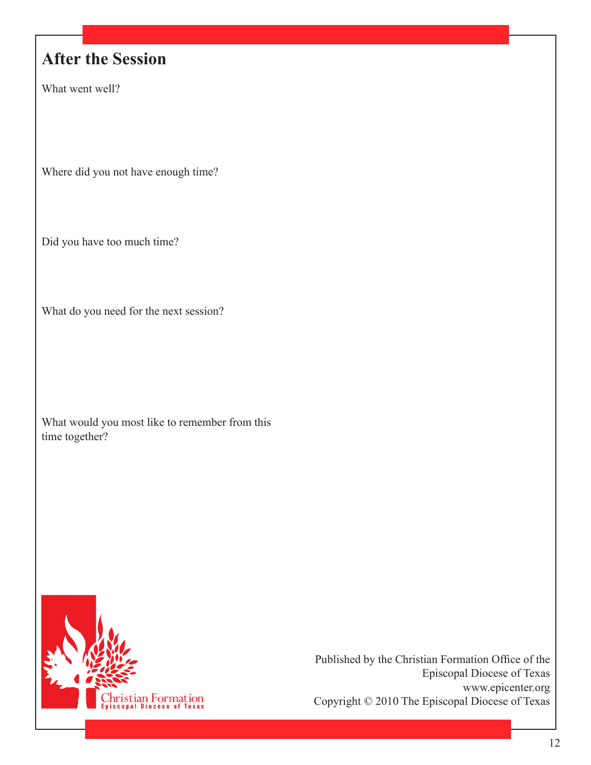## **After the Session**

What went well?

Where did you not have enough time?

Did you have too much time?

What do you need for the next session?

What would you most like to remember from this time together?

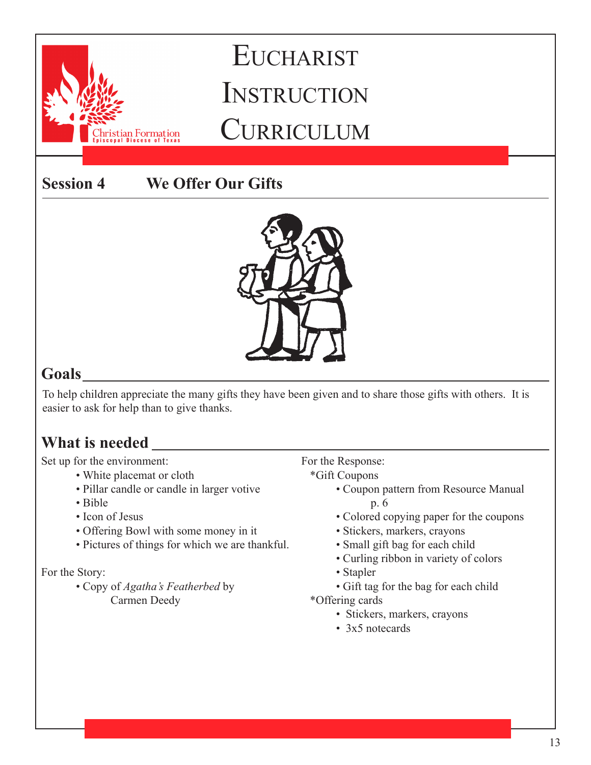**Session 4 We Offer Our Gifts**

stian Formation



### **Goals**

To help children appreciate the many gifts they have been given and to share those gifts with others. It is easier to ask for help than to give thanks.

### **What is needed**

Set up for the environment:

- White placemat or cloth
	- Pillar candle or candle in larger votive
	- Bible
	- Icon of Jesus
	- Offering Bowl with some money in it
	- Pictures of things for which we are thankful.

### For the Story:

• Copy of *Agatha's Featherbed* by Carmen Deedy

For the Response:

- \*Gift Coupons
	- Coupon pattern from Resource Manual p. 6
	- Colored copying paper for the coupons
	- Stickers, markers, crayons
	- Small gift bag for each child
	- Curling ribbon in variety of colors
	- Stapler
	- Gift tag for the bag for each child
- \*Offering cards
	- Stickers, markers, crayons
	- 3x5 notecards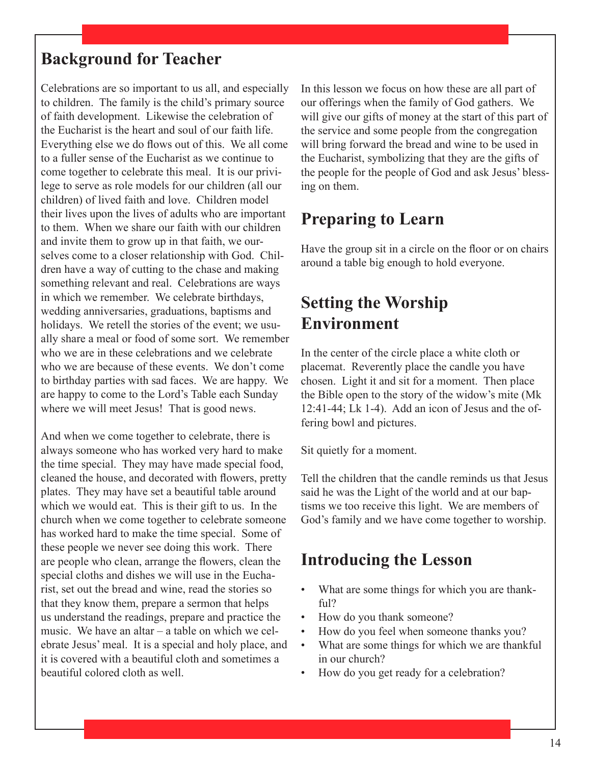Celebrations are so important to us all, and especially to children. The family is the child's primary source of faith development. Likewise the celebration of the Eucharist is the heart and soul of our faith life. Everything else we do flows out of this. We all come to a fuller sense of the Eucharist as we continue to come together to celebrate this meal. It is our privilege to serve as role models for our children (all our children) of lived faith and love. Children model their lives upon the lives of adults who are important to them. When we share our faith with our children and invite them to grow up in that faith, we ourselves come to a closer relationship with God. Children have a way of cutting to the chase and making something relevant and real. Celebrations are ways in which we remember. We celebrate birthdays, wedding anniversaries, graduations, baptisms and holidays. We retell the stories of the event; we usually share a meal or food of some sort. We remember who we are in these celebrations and we celebrate who we are because of these events. We don't come to birthday parties with sad faces. We are happy. We are happy to come to the Lord's Table each Sunday where we will meet Jesus! That is good news.

And when we come together to celebrate, there is always someone who has worked very hard to make the time special. They may have made special food, cleaned the house, and decorated with flowers, pretty plates. They may have set a beautiful table around which we would eat. This is their gift to us. In the church when we come together to celebrate someone has worked hard to make the time special. Some of these people we never see doing this work. There are people who clean, arrange the flowers, clean the special cloths and dishes we will use in the Eucharist, set out the bread and wine, read the stories so that they know them, prepare a sermon that helps us understand the readings, prepare and practice the music. We have an altar – a table on which we celebrate Jesus' meal. It is a special and holy place, and it is covered with a beautiful cloth and sometimes a beautiful colored cloth as well.

In this lesson we focus on how these are all part of our offerings when the family of God gathers. We will give our gifts of money at the start of this part of the service and some people from the congregation will bring forward the bread and wine to be used in the Eucharist, symbolizing that they are the gifts of the people for the people of God and ask Jesus' blessing on them.

### **Preparing to Learn**

Have the group sit in a circle on the floor or on chairs around a table big enough to hold everyone.

### **Setting the Worship Environment**

In the center of the circle place a white cloth or placemat. Reverently place the candle you have chosen. Light it and sit for a moment. Then place the Bible open to the story of the widow's mite (Mk 12:41-44; Lk 1-4). Add an icon of Jesus and the offering bowl and pictures.

Sit quietly for a moment.

Tell the children that the candle reminds us that Jesus said he was the Light of the world and at our baptisms we too receive this light. We are members of God's family and we have come together to worship.

### **Introducing the Lesson**

- What are some things for which you are thankful?
- How do you thank someone?
- How do you feel when someone thanks you?
- What are some things for which we are thankful in our church?
- How do you get ready for a celebration?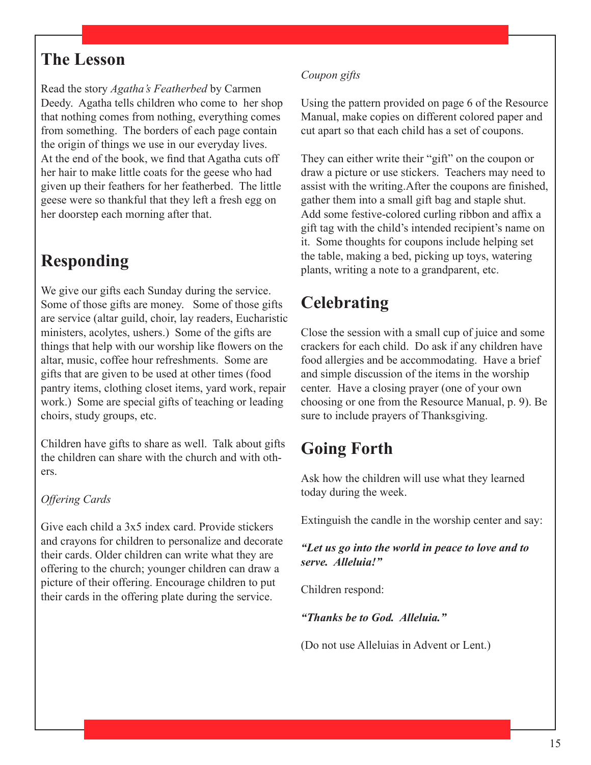### **The Lesson**

Read the story *Agatha's Featherbed* by Carmen Deedy. Agatha tells children who come to her shop that nothing comes from nothing, everything comes from something. The borders of each page contain the origin of things we use in our everyday lives. At the end of the book, we find that Agatha cuts off her hair to make little coats for the geese who had given up their feathers for her featherbed. The little geese were so thankful that they left a fresh egg on her doorstep each morning after that.

### **Responding**

We give our gifts each Sunday during the service. Some of those gifts are money. Some of those gifts are service (altar guild, choir, lay readers, Eucharistic ministers, acolytes, ushers.) Some of the gifts are things that help with our worship like flowers on the altar, music, coffee hour refreshments. Some are gifts that are given to be used at other times (food pantry items, clothing closet items, yard work, repair work.) Some are special gifts of teaching or leading choirs, study groups, etc.

Children have gifts to share as well. Talk about gifts the children can share with the church and with others.

#### *Offering Cards*

Give each child a 3x5 index card. Provide stickers and crayons for children to personalize and decorate their cards. Older children can write what they are offering to the church; younger children can draw a picture of their offering. Encourage children to put their cards in the offering plate during the service.

#### *Coupon gifts*

Using the pattern provided on page 6 of the Resource Manual, make copies on different colored paper and cut apart so that each child has a set of coupons.

They can either write their "gift" on the coupon or draw a picture or use stickers. Teachers may need to assist with the writing.After the coupons are finished, gather them into a small gift bag and staple shut. Add some festive-colored curling ribbon and affix a gift tag with the child's intended recipient's name on it. Some thoughts for coupons include helping set the table, making a bed, picking up toys, watering plants, writing a note to a grandparent, etc.

### **Celebrating**

Close the session with a small cup of juice and some crackers for each child. Do ask if any children have food allergies and be accommodating. Have a brief and simple discussion of the items in the worship center. Have a closing prayer (one of your own choosing or one from the Resource Manual, p. 9). Be sure to include prayers of Thanksgiving.

### **Going Forth**

Ask how the children will use what they learned today during the week.

Extinguish the candle in the worship center and say:

#### *"Let us go into the world in peace to love and to serve. Alleluia!"*

Children respond:

*"Thanks be to God. Alleluia."*

(Do not use Alleluias in Advent or Lent.)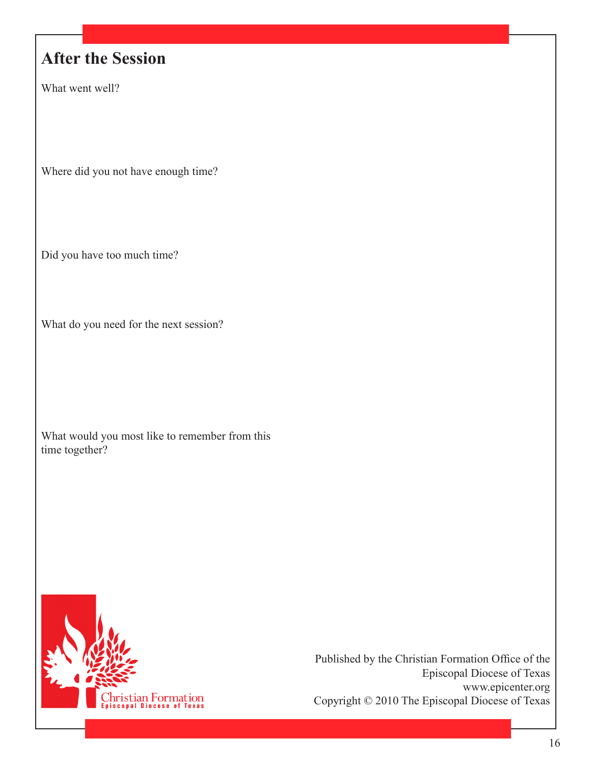### **After the Session**

What went well?

Where did you not have enough time?

Did you have too much time?

What do you need for the next session?

What would you most like to remember from this time together?

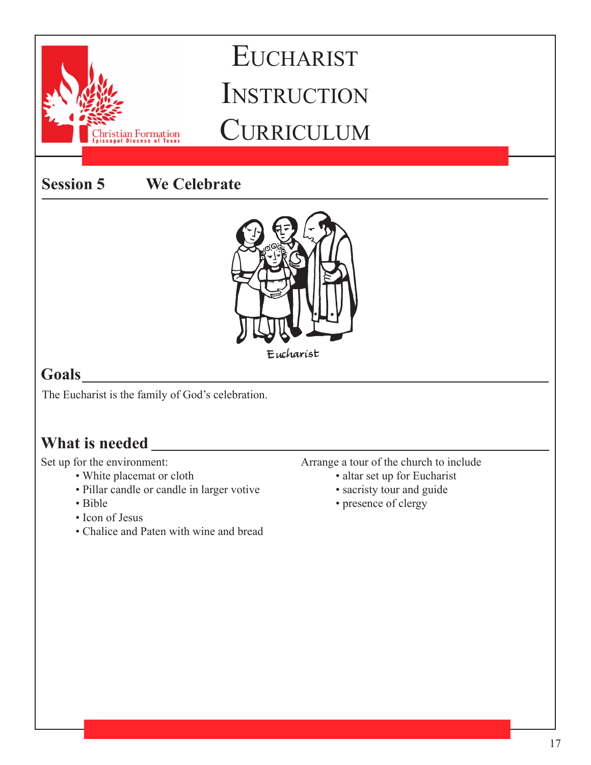**Session 5 We Celebrate**



### **Goals**

The Eucharist is the family of God's celebration.

stian Formation

### **What is needed**

Set up for the environment:

- White placemat or cloth
- Pillar candle or candle in larger votive
- Bible
- Icon of Jesus
- Chalice and Paten with wine and bread
- Arrange a tour of the church to include
	- altar set up for Eucharist
	- sacristy tour and guide
	- presence of clergy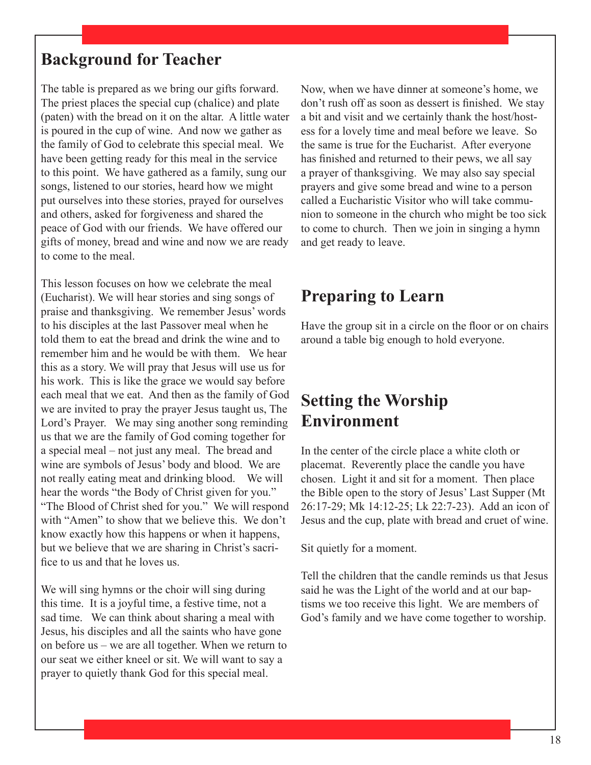The table is prepared as we bring our gifts forward. The priest places the special cup (chalice) and plate (paten) with the bread on it on the altar. A little water is poured in the cup of wine. And now we gather as the family of God to celebrate this special meal. We have been getting ready for this meal in the service to this point. We have gathered as a family, sung our songs, listened to our stories, heard how we might put ourselves into these stories, prayed for ourselves and others, asked for forgiveness and shared the peace of God with our friends. We have offered our gifts of money, bread and wine and now we are ready to come to the meal.

This lesson focuses on how we celebrate the meal (Eucharist). We will hear stories and sing songs of praise and thanksgiving. We remember Jesus' words to his disciples at the last Passover meal when he told them to eat the bread and drink the wine and to remember him and he would be with them. We hear this as a story. We will pray that Jesus will use us for his work. This is like the grace we would say before each meal that we eat. And then as the family of God we are invited to pray the prayer Jesus taught us, The Lord's Prayer. We may sing another song reminding us that we are the family of God coming together for a special meal – not just any meal. The bread and wine are symbols of Jesus' body and blood. We are not really eating meat and drinking blood. We will hear the words "the Body of Christ given for you." "The Blood of Christ shed for you." We will respond with "Amen" to show that we believe this. We don't know exactly how this happens or when it happens, but we believe that we are sharing in Christ's sacrifice to us and that he loves us.

We will sing hymns or the choir will sing during this time. It is a joyful time, a festive time, not a sad time. We can think about sharing a meal with Jesus, his disciples and all the saints who have gone on before us – we are all together. When we return to our seat we either kneel or sit. We will want to say a prayer to quietly thank God for this special meal.

Now, when we have dinner at someone's home, we don't rush off as soon as dessert is finished. We stay a bit and visit and we certainly thank the host/hostess for a lovely time and meal before we leave. So the same is true for the Eucharist. After everyone has finished and returned to their pews, we all say a prayer of thanksgiving. We may also say special prayers and give some bread and wine to a person called a Eucharistic Visitor who will take communion to someone in the church who might be too sick to come to church. Then we join in singing a hymn and get ready to leave.

### **Preparing to Learn**

Have the group sit in a circle on the floor or on chairs around a table big enough to hold everyone.

### **Setting the Worship Environment**

In the center of the circle place a white cloth or placemat. Reverently place the candle you have chosen. Light it and sit for a moment. Then place the Bible open to the story of Jesus' Last Supper (Mt 26:17-29; Mk 14:12-25; Lk 22:7-23). Add an icon of Jesus and the cup, plate with bread and cruet of wine.

Sit quietly for a moment.

Tell the children that the candle reminds us that Jesus said he was the Light of the world and at our baptisms we too receive this light. We are members of God's family and we have come together to worship.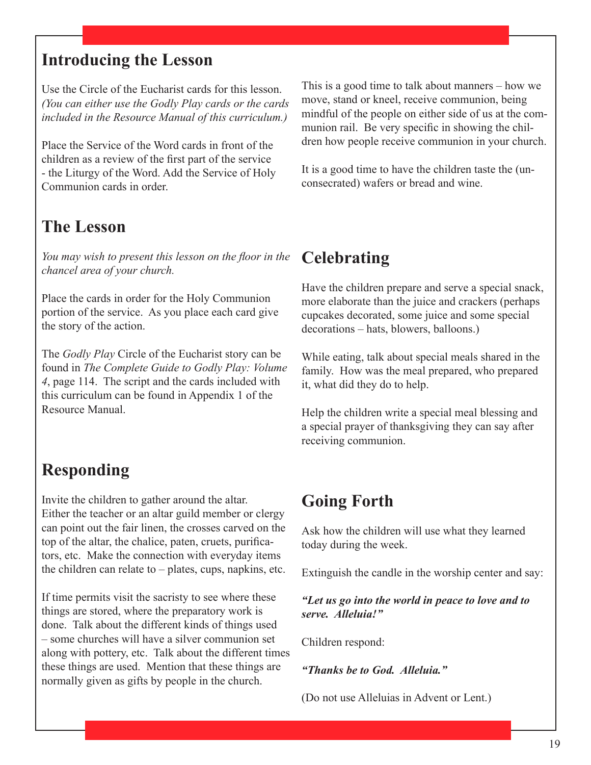### **Introducing the Lesson**

Use the Circle of the Eucharist cards for this lesson. *(You can either use the Godly Play cards or the cards included in the Resource Manual of this curriculum.)* 

Place the Service of the Word cards in front of the children as a review of the first part of the service - the Liturgy of the Word. Add the Service of Holy Communion cards in order.

### **The Lesson**

*You may wish to present this lesson on the floor in the chancel area of your church.*

Place the cards in order for the Holy Communion portion of the service. As you place each card give the story of the action.

The *Godly Play* Circle of the Eucharist story can be found in *The Complete Guide to Godly Play: Volume 4*, page 114. The script and the cards included with this curriculum can be found in Appendix 1 of the Resource Manual.

### **Responding**

Invite the children to gather around the altar. Either the teacher or an altar guild member or clergy can point out the fair linen, the crosses carved on the top of the altar, the chalice, paten, cruets, purificators, etc. Make the connection with everyday items the children can relate to – plates, cups, napkins, etc.

If time permits visit the sacristy to see where these things are stored, where the preparatory work is done. Talk about the different kinds of things used – some churches will have a silver communion set along with pottery, etc. Talk about the different times these things are used. Mention that these things are normally given as gifts by people in the church.

This is a good time to talk about manners – how we move, stand or kneel, receive communion, being mindful of the people on either side of us at the communion rail. Be very specific in showing the children how people receive communion in your church.

It is a good time to have the children taste the (unconsecrated) wafers or bread and wine.

### **Celebrating**

Have the children prepare and serve a special snack, more elaborate than the juice and crackers (perhaps cupcakes decorated, some juice and some special decorations – hats, blowers, balloons.)

While eating, talk about special meals shared in the family. How was the meal prepared, who prepared it, what did they do to help.

Help the children write a special meal blessing and a special prayer of thanksgiving they can say after receiving communion.

### **Going Forth**

Ask how the children will use what they learned today during the week.

Extinguish the candle in the worship center and say:

*"Let us go into the world in peace to love and to serve. Alleluia!"*

Children respond:

*"Thanks be to God. Alleluia."*

(Do not use Alleluias in Advent or Lent.)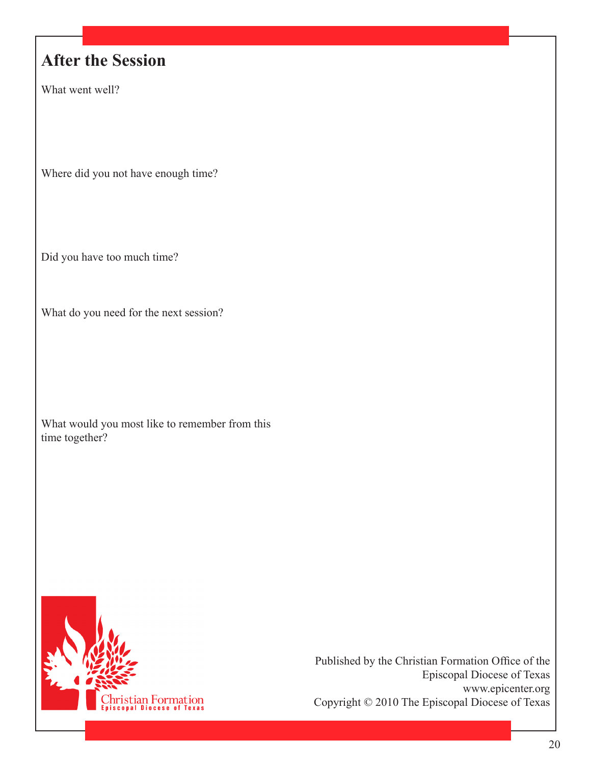## **After the Session**

What went well?

Where did you not have enough time?

Did you have too much time?

What do you need for the next session?

What would you most like to remember from this time together?

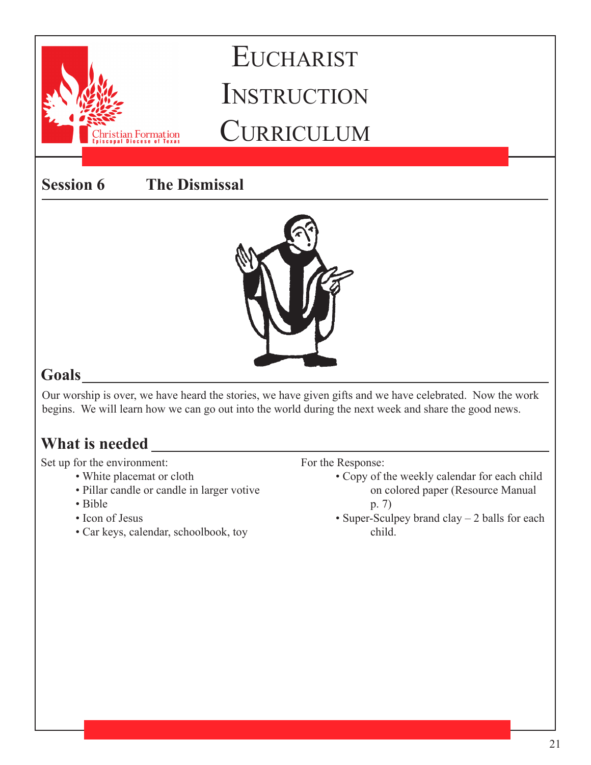**Session 6 The Dismissal**

stian Formation



### **Goals**

Our worship is over, we have heard the stories, we have given gifts and we have celebrated. Now the work begins. We will learn how we can go out into the world during the next week and share the good news.

### **What is needed**

Set up for the environment:

- White placemat or cloth
- Pillar candle or candle in larger votive
- Bible
- Icon of Jesus
- Car keys, calendar, schoolbook, toy

For the Response:

- Copy of the weekly calendar for each child on colored paper (Resource Manual p. 7)
- Super-Sculpey brand clay 2 balls for each child.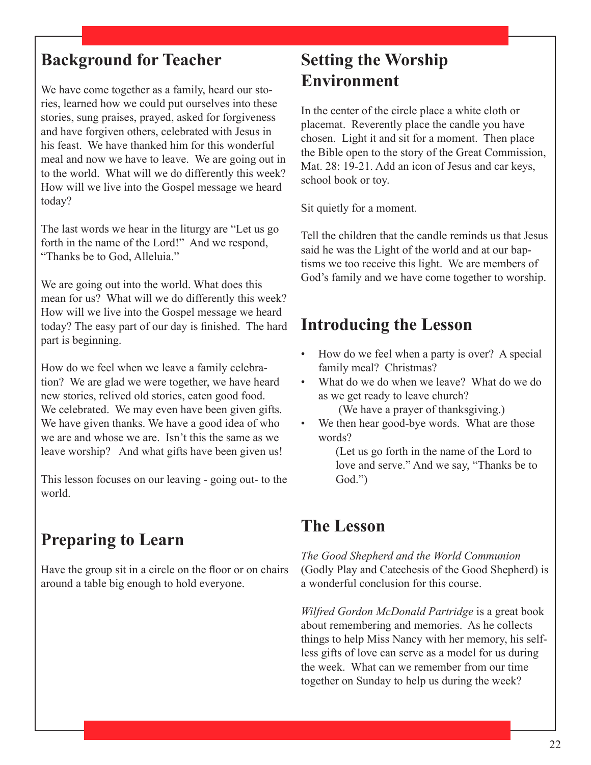We have come together as a family, heard our stories, learned how we could put ourselves into these stories, sung praises, prayed, asked for forgiveness and have forgiven others, celebrated with Jesus in his feast. We have thanked him for this wonderful meal and now we have to leave. We are going out in to the world. What will we do differently this week? How will we live into the Gospel message we heard today?

The last words we hear in the liturgy are "Let us go forth in the name of the Lord!" And we respond, "Thanks be to God, Alleluia."

We are going out into the world. What does this mean for us? What will we do differently this week? How will we live into the Gospel message we heard today? The easy part of our day is finished. The hard part is beginning.

How do we feel when we leave a family celebration? We are glad we were together, we have heard new stories, relived old stories, eaten good food. We celebrated. We may even have been given gifts. We have given thanks. We have a good idea of who we are and whose we are. Isn't this the same as we leave worship? And what gifts have been given us!

This lesson focuses on our leaving - going out- to the world.

### **Preparing to Learn**

Have the group sit in a circle on the floor or on chairs around a table big enough to hold everyone.

### **Setting the Worship Environment**

In the center of the circle place a white cloth or placemat. Reverently place the candle you have chosen. Light it and sit for a moment. Then place the Bible open to the story of the Great Commission, Mat. 28: 19-21. Add an icon of Jesus and car keys, school book or toy.

Sit quietly for a moment.

Tell the children that the candle reminds us that Jesus said he was the Light of the world and at our baptisms we too receive this light. We are members of God's family and we have come together to worship.

### **Introducing the Lesson**

- How do we feel when a party is over? A special family meal? Christmas?
- What do we do when we leave? What do we do as we get ready to leave church?

(We have a prayer of thanksgiving.)

We then hear good-bye words. What are those words?

> (Let us go forth in the name of the Lord to love and serve." And we say, "Thanks be to God.")

### **The Lesson**

*The Good Shepherd and the World Communion*  (Godly Play and Catechesis of the Good Shepherd) is a wonderful conclusion for this course.

*Wilfred Gordon McDonald Partridge* is a great book about remembering and memories. As he collects things to help Miss Nancy with her memory, his selfless gifts of love can serve as a model for us during the week. What can we remember from our time together on Sunday to help us during the week?